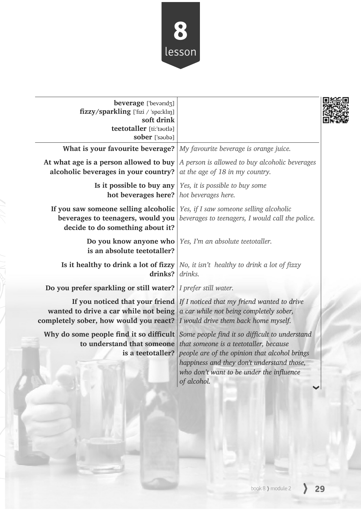

| beverage ['bevarid3]<br>fizzy/sparkling ['fizi / 'spa:klɪŋ]<br>soft drink<br>teetotaller [ti:'tautla]<br>sober ['sauba] |                                                                                                                                                                                                                                                                                                                                         |  |
|-------------------------------------------------------------------------------------------------------------------------|-----------------------------------------------------------------------------------------------------------------------------------------------------------------------------------------------------------------------------------------------------------------------------------------------------------------------------------------|--|
| What is your favourite beverage? $\vert$ My favourite beverage is orange juice.                                         |                                                                                                                                                                                                                                                                                                                                         |  |
| At what age is a person allowed to buy<br>alcoholic beverages in your country?                                          | A person is allowed to buy alcoholic beverages<br>at the age of 18 in my country.                                                                                                                                                                                                                                                       |  |
| Is it possible to buy any<br>hot beverages here?   hot beverages here.                                                  | Yes, it is possible to buy some                                                                                                                                                                                                                                                                                                         |  |
| If you saw someone selling alcoholic<br>beverages to teenagers, would you<br>decide to do something about it?           | Yes, if I saw someone selling alcoholic<br>beverages to teenagers, I would call the police.                                                                                                                                                                                                                                             |  |
| Do you know anyone who<br>is an absolute teetotaller?                                                                   | Yes, I'm an absolute teetotaller.                                                                                                                                                                                                                                                                                                       |  |
| drinks?                                                                                                                 | Is it healthy to drink a lot of fizzy $ No, it isn't$ healthy to drink a lot of fizzy<br>drinks.                                                                                                                                                                                                                                        |  |
| Do you prefer sparkling or still water?                                                                                 | I prefer still water.                                                                                                                                                                                                                                                                                                                   |  |
| If you noticed that your friend<br>wanted to drive a car while not being<br>completely sober, how would you react?      | If I noticed that my friend wanted to drive<br>a car while not being completely sober,<br>I would drive them back home myself.                                                                                                                                                                                                          |  |
|                                                                                                                         | Why do some people find it so difficult Some people find it so difficult to understand<br>to understand that someone that someone is a teetotaller, because<br>is a teetotaller? people are of the opinion that alcohol brings<br>happiness and they don't understand those,<br>who don't want to be under the influence<br>of alcohol. |  |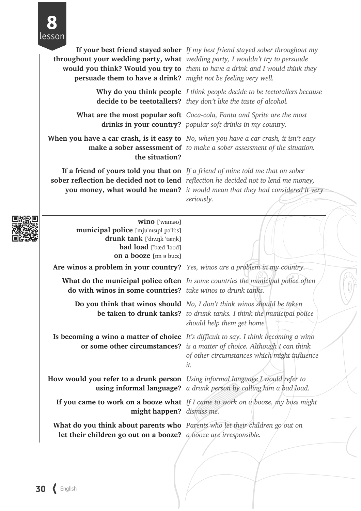

| <b>throughout your wedding party, what</b> $ $ wedding party, I wouldn't try to persuade<br>would you think? Would you try to<br>persuade them to have a drink? | If your best friend stayed sober $ $ If my best friend stayed sober throughout my<br>them to have a drink and I would think they<br>might not be feeling very well.                                |  |
|-----------------------------------------------------------------------------------------------------------------------------------------------------------------|----------------------------------------------------------------------------------------------------------------------------------------------------------------------------------------------------|--|
| decide to be teetotallers?                                                                                                                                      | Why do you think people $ I \text{ think people decide to be tetotallers because }$<br>they don't like the taste of alcohol.                                                                       |  |
| What are the most popular soft<br>drinks in your country?                                                                                                       | Coca-cola, Fanta and Sprite are the most<br>popular soft drinks in my country.                                                                                                                     |  |
| When you have a car crash, is it easy to<br>make a sober assessment of<br>the situation?                                                                        | No, when you have a car crash, it isn't easy<br>to make a sober assessment of the situation.                                                                                                       |  |
| sober reflection he decided not to lend<br>you money, what would he mean?                                                                                       | If a friend of yours told you that on $ $ If a friend of mine told me that on sober<br>reflection he decided not to lend me money,<br>it would mean that they had considered it very<br>seriously. |  |
| wino ['wamau]<br>municipal police [mju'nɪsɪpl pə'li:s]<br>drunk tank ['drʌŋk 'tæŋk]<br><b>bad load</b> ['bæd 'laud]<br>on a booze [pn ə bu:z]                   |                                                                                                                                                                                                    |  |
| Are winos a problem in your country?                                                                                                                            | Yes, winos are a problem in my country.                                                                                                                                                            |  |
| do with winos in some countries?                                                                                                                                | What do the municipal police often $ In$ some countries the municipal police often<br>take winos to drunk tanks.                                                                                   |  |
| be taken to drunk tanks?                                                                                                                                        | <b>Do you think that winos should</b> $\vert$ <i>No, I don't think winos should be taken</i><br>to drunk tanks. I think the municipal police<br>should help them get home.                         |  |
| Is becoming a wino a matter of choice<br>or some other circumstances?                                                                                           | It's difficult to say. I think becoming a wino<br>is a matter of choice. Although I can think<br>of other circumstances which might influence<br>it.                                               |  |
| How would you refer to a drunk person<br>using informal language?                                                                                               | Using informal language I would refer to<br>a drunk person by calling him a bad load.                                                                                                              |  |
| might happen?                                                                                                                                                   | If you came to work on a booze what   If I came to work on a booze, my boss might<br>dismiss me.                                                                                                   |  |
| What do you think about parents who $ $ Parents who let their children go out on<br>let their children go out on a booze?                                       | a booze are irresponsible.                                                                                                                                                                         |  |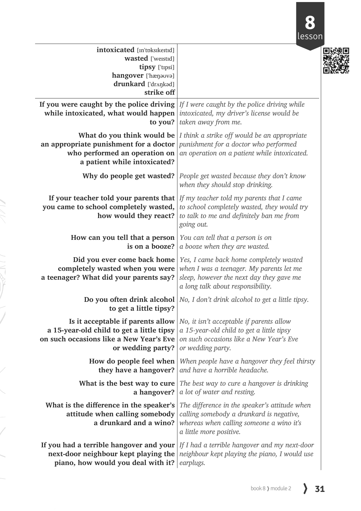

| intoxicated [m'tpksikeitid]<br>wasted ['weistid]<br>tipsy ['tɪpsi]<br>hangover ['hænavva]<br>drunkard ['drʌŋkəd]<br>strike off                                                         |                                                                                                                                                                                        |  |
|----------------------------------------------------------------------------------------------------------------------------------------------------------------------------------------|----------------------------------------------------------------------------------------------------------------------------------------------------------------------------------------|--|
| If you were caught by the police driving $ $ If I were caught by the police driving while<br>while intoxicated, what would happen intoxicated, my driver's license would be<br>to you? | taken away from me.                                                                                                                                                                    |  |
| an appropriate punishment for a doctor<br>who performed an operation on<br>a patient while intoxicated?                                                                                | <b>What do you think would be</b> $\vert$ <i>I think a strike off would be an appropriate</i><br>punishment for a doctor who performed<br>an operation on a patient while intoxicated. |  |
| Why do people get wasted?                                                                                                                                                              | People get wasted because they don't know<br>when they should stop drinking.                                                                                                           |  |
| If your teacher told your parents that<br>you came to school completely wasted,<br>how would they react?                                                                               | If my teacher told my parents that I came<br>to school completely wasted, they would try<br>to talk to me and definitely ban me from<br>going out.                                     |  |
| How can you tell that a person<br>is on a booze?                                                                                                                                       | You can tell that a person is on<br>a booze when they are wasted.                                                                                                                      |  |
| Did you ever come back home<br>completely wasted when you were<br>a teenager? What did your parents say?                                                                               | Yes, I came back home completely wasted<br>when I was a teenager. My parents let me<br>sleep, however the next day they gave me<br>a long talk about responsibility.                   |  |
| to get a little tipsy?                                                                                                                                                                 | <b>Do you often drink alcohol</b> $\lfloor No, I \right]$ don't drink alcohol to get a little tipsy.                                                                                   |  |
| Is it acceptable if parents allow<br>a 15-year-old child to get a little tipsy<br>on such occasions like a New Year's Eve<br>or wedding party?                                         | No, it isn't acceptable if parents allow<br>a 15-year-old child to get a little tipsy<br>on such occasions like a New Year's Eve<br>or wedding party.                                  |  |
| How do people feel when<br>they have a hangover?                                                                                                                                       | When people have a hangover they feel thirsty<br>and have a horrible headache.                                                                                                         |  |
| What is the best way to cure<br>a hangover?                                                                                                                                            | The best way to cure a hangover is drinking<br>a lot of water and resting.                                                                                                             |  |
| What is the difference in the speaker's<br>attitude when calling somebody<br>a drunkard and a wino?                                                                                    | The difference in the speaker's attitude when<br>calling somebody a drunkard is negative,<br>whereas when calling someone a wino it's<br>a little more positive.                       |  |
| If you had a terrible hangover and your<br>next-door neighbour kept playing the<br>piano, how would you deal with it?                                                                  | If I had a terrible hangover and my next-door<br>neighbour kept playing the piano, I would use<br>earplugs.                                                                            |  |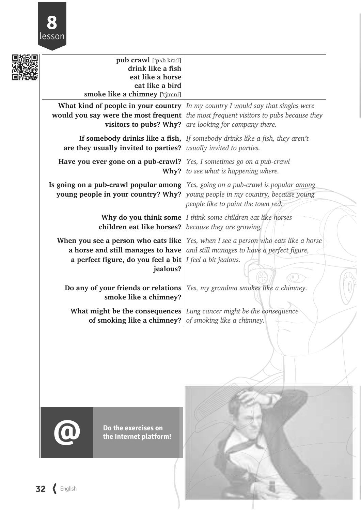

|  | pub crawl ['pʌb krɔ:l]                                                             |                                                                                             |
|--|------------------------------------------------------------------------------------|---------------------------------------------------------------------------------------------|
|  | drink like a fish                                                                  |                                                                                             |
|  | eat like a horse<br>eat like a bird                                                |                                                                                             |
|  | smoke like a chimney ['tʃɪmni]                                                     |                                                                                             |
|  |                                                                                    |                                                                                             |
|  |                                                                                    | What kind of people in your country $ In \, my \, country \, I$ would say that singles were |
|  |                                                                                    | <b>would you say were the most frequent</b> the most frequent visitors to pubs because they |
|  | visitors to pubs? Why?                                                             | are looking for company there.                                                              |
|  | If somebody drinks like a fish,                                                    | If somebody drinks like a fish, they aren't                                                 |
|  | are they usually invited to parties?                                               | usually invited to parties.                                                                 |
|  | Have you ever gone on a pub-crawl?                                                 | Yes, I sometimes go on a pub-crawl                                                          |
|  | Why?                                                                               | to see what is happening where.                                                             |
|  |                                                                                    |                                                                                             |
|  | Is going on a pub-crawl popular among   Yes, going on a pub-crawl is popular among |                                                                                             |
|  | young people in your country? Why?                                                 | young people in my country, because young                                                   |
|  |                                                                                    | people like to paint the town red.                                                          |
|  |                                                                                    | <b>Why do you think some</b> $I$ think some children eat like horses                        |
|  | <b>children eat like horses?</b> because they are growing.                         |                                                                                             |
|  |                                                                                    |                                                                                             |
|  |                                                                                    | <b>When you see a person who eats like</b>   Yes, when I see a person who eats like a horse |
|  | a horse and still manages to have                                                  | and still manages to have a perfect figure,                                                 |
|  | a perfect figure, do you feel a bit                                                | I feel a bit jealous.                                                                       |
|  | jealous?                                                                           |                                                                                             |
|  |                                                                                    |                                                                                             |
|  |                                                                                    | <b>Do any of your friends or relations</b>   Yes, my grandma smokes like a chimney.         |
|  | smoke like a chimney?                                                              |                                                                                             |
|  |                                                                                    | What might be the consequences Lung cancer might be the consequence                         |
|  | of smoking like a chimney?                                                         | of smoking like a chimney.                                                                  |
|  |                                                                                    |                                                                                             |
|  |                                                                                    |                                                                                             |
|  |                                                                                    |                                                                                             |



**Do the exercises on the Internet platform!**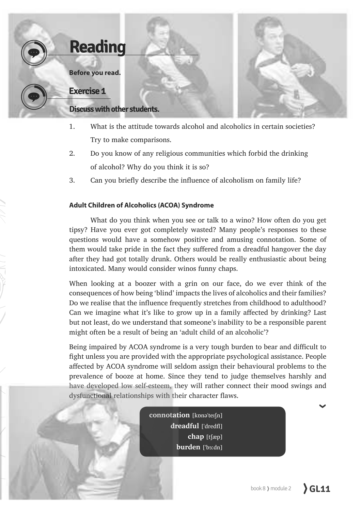

- 1. What is the attitude towards alcohol and alcoholics in certain societies? Try to make comparisons.
- 2. Do you know of any religious communities which forbid the drinking of alcohol? Why do you think it is so?
- 3. Can you briefly describe the influence of alcoholism on family life?

#### **Adult Children of Alcoholics (ACOA) Syndrome**

What do you think when you see or talk to a wino? How often do you get tipsy? Have you ever got completely wasted? Many people's responses to these questions would have a somehow positive and amusing connotation. Some of them would take pride in the fact they suffered from a dreadful hangover the day after they had got totally drunk. Others would be really enthusiastic about being intoxicated. Many would consider winos funny chaps.

When looking at a boozer with a grin on our face, do we ever think of the consequences of how being 'blind' impacts the lives of alcoholics and their families? Do we realise that the influence frequently stretches from childhood to adulthood? Can we imagine what it's like to grow up in a family affected by drinking? Last but not least, do we understand that someone's inability to be a responsible parent might often be a result of being an 'adult child of an alcoholic'?

Being impaired by ACOA syndrome is a very tough burden to bear and difficult to fight unless you are provided with the appropriate psychological assistance. People affected by ACOA syndrome will seldom assign their behavioural problems to the prevalence of booze at home. Since they tend to judge themselves harshly and have developed low self-esteem, they will rather connect their mood swings and dysfunctional relationships with their character flaws.

> connotation [kpna'terfn] dreadful ['dredfl] **chap**  $[t$  $[exp]$ **burden** ['bɜ:dn]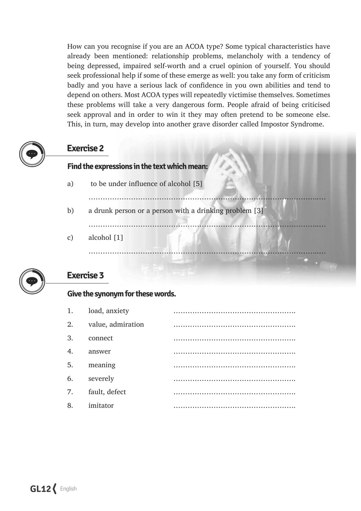How can you recognise if you are an ACOA type? Some typical characteristics have already been mentioned: relationship problems, melancholy with a tendency of being depressed, impaired self-worth and a cruel opinion of yourself. You should seek professional help if some of these emerge as well: you take any form of criticism badly and you have a serious lack of confidence in you own abilities and tend to depend on others. Most ACOA types will repeatedly victimise themselves. Sometimes these problems will take a very dangerous form. People afraid of being criticised seek approval and in order to win it they may often pretend to be someone else. This, in turn, may develop into another grave disorder called Impostor Syndrome.

«««««««««««««««««««««««««««««««««

«««««««««««««««««««««««««««««««««

# **Exercise 2**

#### **Find the expressions in the text which mean:**

- a) to be under influence of alcohol  $[5]$
- b) a drunk person or a person with a drinking problem  $[3]$
- «««««««««««««««««««««««««««««««««
- c) alcohol  $[1]$



# **Exercise 3**

#### **Give the synonym for these words.**

| 1.          | load, anxiety     |  |
|-------------|-------------------|--|
| 2.          | value, admiration |  |
| 3.          | connect           |  |
| $\mathbf 4$ | answer            |  |
| 5.          | meaning           |  |
| 6.          | severely          |  |
| 7.          | fault, defect     |  |
| 8.          | imitator          |  |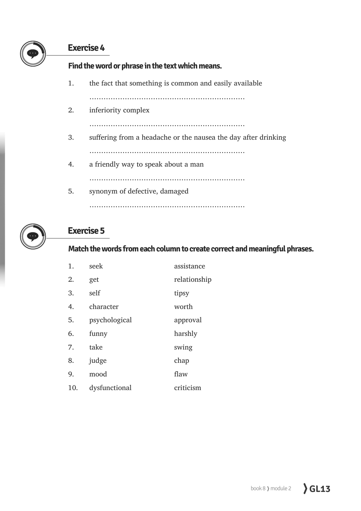# **Exercise 4**

**Find the word or phrase in the text which means.**

1. the fact that something is common and easily available

««««««««««««««««««««««

2. inferiority complex

««««««««««««««««««««««

- 3. suffering from a headache or the nausea the day after drinking ««««««««««««««««««««««
- 4. a friendly way to speak about a man

««««««««««««««««««««««

5. synonym of defective, damaged ««««««««««««««««««««««



# **Exercise 5**

#### **Match the words from each column to create correct and meaningful phrases.**

| 1.  | seek          | assistance   |
|-----|---------------|--------------|
| 2.  | get           | relationship |
| 3.  | self          | tipsy        |
| 4.  | character     | worth        |
| 5.  | psychological | approval     |
| 6.  | funny         | harshly      |
| 7.  | take          | swing        |
| 8.  | judge         | chap         |
| 9.  | mood          | flaw         |
| 10. | dysfunctional | criticism    |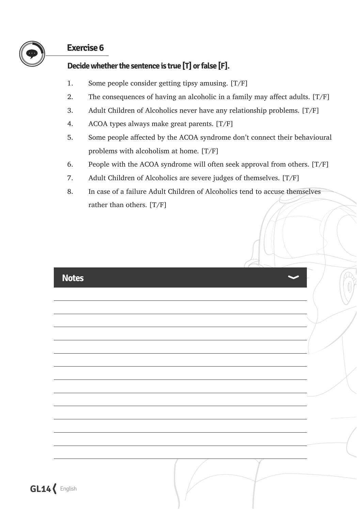

# **Exercise 6**

### **Decide whether the sentence is true [T] or false [F].**

- 1. Some people consider getting tipsy amusing.  $[T/F]$
- 2. The consequences of having an alcoholic in a family may affect adults.  $[T/F]$
- 3. Adult Children of Alcoholics never have any relationship problems.  $[T/F]$
- 4. ACOA types always make great parents.  $[T/F]$
- 5. Some people affected by the ACOA syndrome don't connect their behavioural problems with alcoholism at home.  $[T/F]$
- 6. People with the ACOA syndrome will often seek approval from others.  $[T/F]$
- 7. Adult Children of Alcoholics are severe judges of themselves.  $[T/F]$
- 8. In case of a failure Adult Children of Alcoholics tend to accuse themselves rather than others.  $[T/F]$

| <b>Notes</b> |
|--------------|
|--------------|

**GL14** English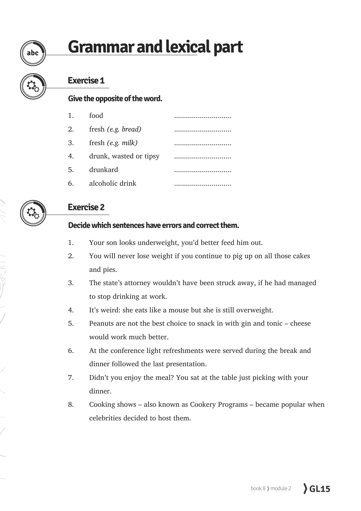# **Grammar and lexical part**

abc

# **Exercise 1**

#### **Give the opposite of the word.**

| 1. | food                   |  |
|----|------------------------|--|
| 2. | fresh (e.g. bread)     |  |
| 3. | fresh $(e.g.$ milk)    |  |
| 4. | drunk, wasted or tipsy |  |
| 5. | drunkard               |  |
| 6. | alcoholic drink        |  |

# **Exercise 2**

#### **Decide which sentences have errors and correct them.**

- 1. Your son looks underweight, you'd better feed him out.
- 2. You will never lose weight if you continue to pig up on all those cakes and pies.
- 3. The state's attorney wouldn't have been struck away, if he had managed to stop drinking at work.
- 4. It's weird: she eats like a mouse but she is still overweight.
- 5. Peanuts are not the best choice to snack in with gin and tonic  $-$  cheese would work much better.
- 6. At the conference light refreshments were served during the break and dinner followed the last presentation.
- 7. Didn't you enjoy the meal? You sat at the table just picking with your dinner.
- 8. Cooking shows also known as Cookery Programs became popular when celebrities decided to host them.